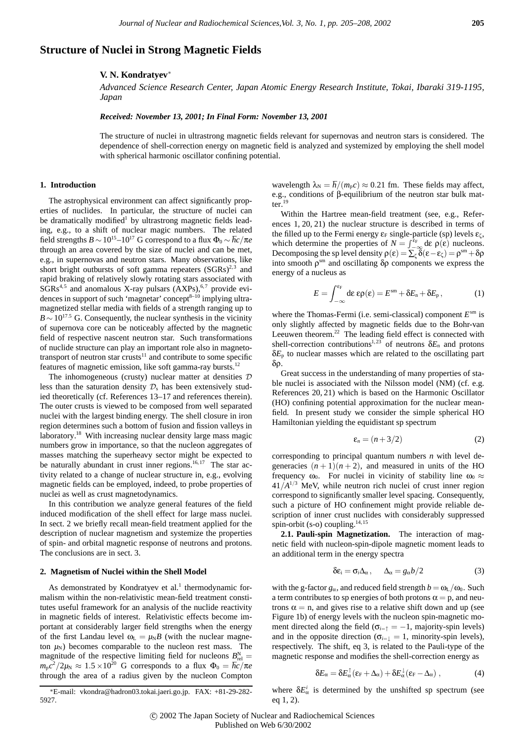# **Structure of Nuclei in Strong Magnetic Fields**

# **V. N. Kondratyev**<sup>∗</sup>

*Advanced Science Research Center, Japan Atomic Energy Research Institute, Tokai, Ibaraki 319-1195, Japan*

### *Received: November 13, 2001; In Final Form: November 13, 2001*

The structure of nuclei in ultrastrong magnetic fields relevant for supernovas and neutron stars is considered. The dependence of shell-correction energy on magnetic field is analyzed and systemized by employing the shell model with spherical harmonic oscillator confining potential.

### **1. Introduction**

The astrophysical environment can affect significantly properties of nuclides. In particular, the structure of nuclei can be dramatically modified<sup>1</sup> by ultrastrong magnetic fields leading, e.g., to a shift of nuclear magic numbers. The related field strengths  $B \sim 10^{15}$ – $10^{17}$  G correspond to a flux  $\Phi_0 \sim \hbar c/\pi e$ through an area covered by the size of nuclei and can be met, e.g., in supernovas and neutron stars. Many observations, like short bright outbursts of soft gamma repeaters  $(SGRs)^{2,3}$  and rapid braking of relatively slowly rotating stars associated with  $SGRs<sup>4,5</sup>$  and anomalous X-ray pulsars  $(AXPs)<sup>6,7</sup>$  provide evidences in support of such 'magnetar' concept<sup>8–10</sup> implying ultramagnetized stellar media with fields of a strength ranging up to  $B \sim 10^{17.5}$  G. Consequently, the nuclear synthesis in the vicinity of supernova core can be noticeably affected by the magnetic field of respective nascent neutron star. Such transformations of nuclide structure can play an important role also in magnetotransport of neutron star crusts $11$  and contribute to some specific features of magnetic emission, like soft gamma-ray bursts.12

The inhomogeneous (crusty) nuclear matter at densities  $D$ less than the saturation density  $\mathcal{D}_s$  has been extensively studied theoretically (cf. References 13–17 and references therein). The outer crusts is viewed to be composed from well separated nuclei with the largest binding energy. The shell closure in iron region determines such a bottom of fusion and fission valleys in laboratory.<sup>18</sup> With increasing nuclear density large mass magic numbers grow in importance, so that the nucleon aggregates of masses matching the superheavy sector might be expected to be naturally abundant in crust inner regions.<sup>16,17</sup> The star activity related to a change of nuclear structure in, e.g., evolving magnetic fields can be employed, indeed, to probe properties of nuclei as well as crust magnetodynamics.

In this contribution we analyze general features of the field induced modification of the shell effect for large mass nuclei. In sect. 2 we briefly recall mean-field treatment applied for the description of nuclear magnetism and systemize the properties of spin- and orbital magnetic response of neutrons and protons. The conclusions are in sect. 3.

# **2. Magnetism of Nuclei within the Shell Model**

As demonstrated by Kondratyev et al. $<sup>1</sup>$  thermodynamic for-</sup> malism within the non-relativistic mean-field treatment constitutes useful framework for an analysis of the nuclide reactivity in magnetic fields of interest. Relativistic effects become important at considerably larger field strengths when the energy of the first Landau level  $\omega_L = \mu_N B$  (with the nuclear magneton  $\mu_N$ ) becomes comparable to the nucleon rest mass. The magnitude of the respective limiting field for nucleons  $B_{rel}^N =$  $m_p c^2 / 2 \mu$ <sub>N</sub> ≈ 1.5 ×10<sup>20</sup> G corresponds to a flux  $Φ_0 = hc/πe$ through the area of a radius given by the nucleon Compton

∗E-mail: vkondra@hadron03.tokai.jaeri.go.jp. FAX: +81-29-282- 5927.

wavelength  $\lambda_N = \hbar / (m_p c) \approx 0.21$  fm. These fields may affect, e.g., conditions of β-equilibrium of the neutron star bulk matter. $19$ 

Within the Hartree mean-field treatment (see, e.g., References 1, 20, 21) the nuclear structure is described in terms of the filled up to the Fermi energy  $\varepsilon_F$  single-particle (sp) levels  $\varepsilon_{\zeta}$ , which determine the properties of  $N = \int_{-\infty}^{\epsilon_F} d\epsilon \rho(\epsilon)$  nucleons. Decomposing the sp level density  $\rho(\varepsilon) = \sum_{\zeta} \delta(\varepsilon - \varepsilon_{\zeta}) = \rho^{\rm sm} + \delta \rho$ into smooth  $\rho^{\rm sm}$  and oscillating  $\delta \rho$  components we express the energy of a nucleus as

$$
E = \int_{-\infty}^{\varepsilon_{\rm F}} d\varepsilon \, \varepsilon \rho(\varepsilon) = E^{\rm sm} + \delta E_{\rm n} + \delta E_{\rm p}, \tag{1}
$$

where the Thomas-Fermi (*i.e.* semi-classical) component  $E<sup>sm</sup>$  is only slightly affected by magnetic fields due to the Bohr-van Leeuwen theorem.<sup>22</sup> The leading field effect is connected with shell-correction contributions<sup>1,23</sup> of neutrons  $\delta E_n$  and protons  $\delta E_p$  to nuclear masses which are related to the oscillating part δρ.

Great success in the understanding of many properties of stable nuclei is associated with the Nilsson model (NM) (cf. e.g. References 20, 21) which is based on the Harmonic Oscillator (HO) confining potential approximation for the nuclear meanfield. In present study we consider the simple spherical HO Hamiltonian yielding the equidistant sp spectrum

$$
\varepsilon_n = (n+3/2) \tag{2}
$$

corresponding to principal quantum numbers *n* with level degeneracies  $(n+1)(n+2)$ , and measured in units of the HO frequency  $\omega_0$ . For nuclei in vicinity of stability line  $\omega_0 \approx$  $41/A^{1/3}$  MeV, while neutron rich nuclei of crust inner region correspond to significantly smaller level spacing. Consequently, such a picture of HO confinement might provide reliable description of inner crust nuclides with considerably suppressed spin-orbit (s-o) coupling. $14,15$ 

**2.1. Pauli-spin Magnetization.** The interaction of magnetic field with nucleon-spin-dipole magnetic moment leads to an additional term in the energy spectra

$$
\delta \varepsilon_i = \sigma_i \Delta_\alpha, \qquad \Delta_\alpha = g_\alpha b/2 \tag{3}
$$

with the g-factor  $g_\alpha$ , and reduced field strength  $b = \omega_L/\omega_0$ . Such a term contributes to sp energies of both protons  $\alpha = p$ , and neutrons  $\alpha = n$ , and gives rise to a relative shift down and up (see Figure 1b) of energy levels with the nucleon spin-magnetic moment directed along the field ( $\sigma_{i=1} = -1$ , majority-spin levels) and in the opposite direction ( $\sigma_{i=1} = 1$ , minority-spin levels), respectively. The shift, eq 3, is related to the Pauli-type of the magnetic response and modifies the shell-correction energy as

$$
\delta E_{\alpha} = \delta E_{\alpha}^{\dagger} (\epsilon_{\rm F} + \Delta_{\alpha}) + \delta E_{\alpha}^{\dagger} (\epsilon_{\rm F} - \Delta_{\alpha}) , \qquad (4)
$$

where  $\delta E^i_\alpha$  is determined by the unshifted sp spectrum (see eq 1, 2).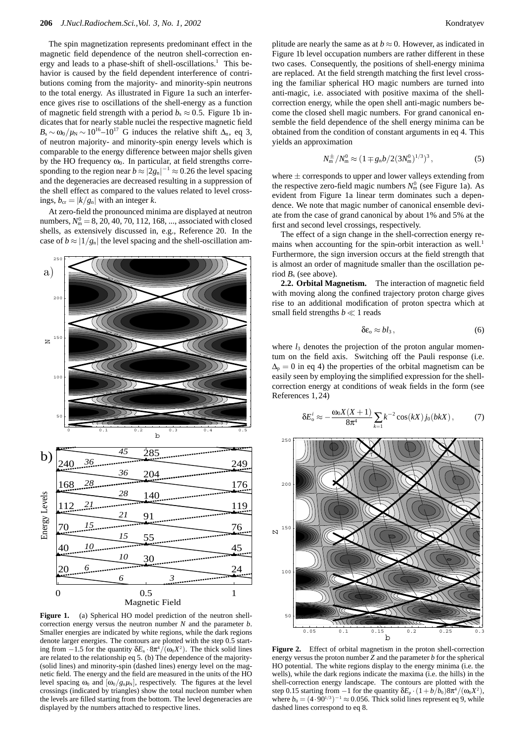The spin magnetization represents predominant effect in the magnetic field dependence of the neutron shell-correction energy and leads to a phase-shift of shell-oscillations.<sup>1</sup> This behavior is caused by the field dependent interference of contributions coming from the majority- and minority-spin neutrons to the total energy. As illustrated in Figure 1a such an interference gives rise to oscillations of the shell-energy as a function of magnetic field strength with a period  $b_s \approx 0.5$ . Figure 1b indicates that for nearly stable nuclei the respective magnetic field  $B_s \sim \omega_0/\mu_N \sim 10^{16} - 10^{17}$  G induces the relative shift  $\Delta_n$ , eq 3, of neutron majority- and minority-spin energy levels which is comparable to the energy difference between major shells given by the HO frequency  $\omega_0$ . In particular, at field strengths corresponding to the region near  $b \approx |2g_n|^{-1} \approx 0.26$  the level spacing and the degeneracies are decreased resulting in a suppression of the shell effect as compared to the values related to level crossings,  $b_{cr} = |k/g_n|$  with an integer *k*.

At zero-field the pronounced minima are displayed at neutron numbers,  $N_{\rm m}^0 = 8$ , 20, 40, 70, 112, 168, ..., associated with closed shells, as extensively discussed in, e.g., Reference 20. In the case of  $b \approx |1/g_n|$  the level spacing and the shell-oscillation am-



Figure 1. (a) Spherical HO model prediction of the neutron shellcorrection energy versus the neutron number *N* and the parameter *b*. Smaller energies are indicated by white regions, while the dark regions denote larger energies. The contours are plotted with the step 0.5 starting from  $-1.5$  for the quantity  $\delta E_n \cdot 8\pi^4/(\omega_0 X^2)$ . The thick solid lines are related to the relationship eq 5. (b) The dependence of the majority- (solid lines) and minority-spin (dashed lines) energy level on the magnetic field. The energy and the field are measured in the units of the HO level spacing  $\omega_0$  and  $[\omega_0/g_n\mu_N]$ , respectively. The figures at the level crossings (indicated by triangles) show the total nucleon number when the levels are filled starting from the bottom. The level degeneracies are displayed by the numbers attached to respective lines.

plitude are nearly the same as at  $b \approx 0$ . However, as indicated in Figure 1b level occupation numbers are rather different in these two cases. Consequently, the positions of shell-energy minima are replaced. At the field strength matching the first level crossing the familiar spherical HO magic numbers are turned into anti-magic, i.e. associated with positive maxima of the shellcorrection energy, while the open shell anti-magic numbers become the closed shell magic numbers. For grand canonical ensemble the field dependence of the shell energy minima can be obtained from the condition of constant arguments in eq 4. This yields an approximation

$$
N_{\rm m}^{\pm}/N_{\rm m}^0 \approx (1 \mp g_{\rm n} b / 2 (3 N_{\rm m}^0)^{1/3})^3, \tag{5}
$$

where  $\pm$  corresponds to upper and lower valleys extending from the respective zero-field magic numbers  $N_{\rm m}^0$  (see Figure 1a). As evident from Figure 1a linear term dominates such a dependence. We note that magic number of canonical ensemble deviate from the case of grand canonical by about 1% and 5% at the first and second level crossings, respectively.

The effect of a sign change in the shell-correction energy remains when accounting for the spin-orbit interaction as well.<sup>1</sup> Furthermore, the sign inversion occurs at the field strength that is almost an order of magnitude smaller than the oscillation period  $B<sub>s</sub>$  (see above).

**2.2. Orbital Magnetism.** The interaction of magnetic field with moving along the confined trajectory proton charge gives rise to an additional modification of proton spectra which at small field strengths  $b \ll 1$  reads

$$
\delta \varepsilon_{0} \approx bl_{3}, \qquad (6)
$$

where  $l_3$  denotes the projection of the proton angular momentum on the field axis. Switching off the Pauli response (i.e.  $\Delta_p = 0$  in eq 4) the properties of the orbital magnetism can be easily seen by employing the simplified expression for the shellcorrection energy at conditions of weak fields in the form (see References 1,24)

$$
\delta E_{o}^{i} \approx -\frac{\omega_{0}X(X+1)}{8\pi^{4}}\sum_{k=1}k^{-2}\cos(kX)j_{0}(bkX), \qquad (7)
$$



**Figure 2.** Effect of orbital magnetism in the proton shell-correction energy versus the proton number *Z* and the parameter *b* for the spherical HO potential. The white regions display to the energy minima (i.e. the wells), while the dark regions indicate the maxima (i.e. the hills) in the shell-correction energy landscape. The contours are plotted with the step 0.15 starting from −1 for the quantity  $\delta E_p \cdot (1 + b/b_0) 8\pi^4/(\omega_0 X^2)$ , where  $b_0 = (4.90^{1/3})^{-1} \approx 0.056$ . Thick solid lines represent eq 9, while dashed lines correspond to eq 8.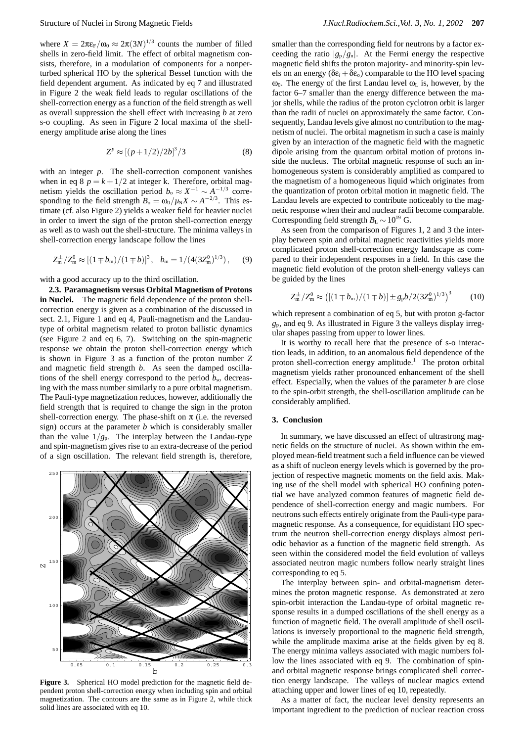where  $X = 2\pi\varepsilon_F/\omega_0 \approx 2\pi(3N)^{1/3}$  counts the number of filled shells in zero-field limit. The effect of orbital magnetism consists, therefore, in a modulation of components for a nonperturbed spherical HO by the spherical Bessel function with the field dependent argument. As indicated by eq 7 and illustrated in Figure 2 the weak field leads to regular oscillations of the shell-correction energy as a function of the field strength as well as overall suppression the shell effect with increasing *b* at zero s-o coupling. As seen in Figure 2 local maxima of the shellenergy amplitude arise along the lines

$$
Z^p \approx [(p+1/2)/2b]^3/3
$$
 (8)

with an integer *p*. The shell-correction component vanishes when in eq 8  $p = k + 1/2$  at integer k. Therefore, orbital magnetism yields the oscillation period  $b_0 \approx X^{-1} \sim A^{-1/3}$  corresponding to the field strength  $B_0 = \omega_0 / \mu_N X \sim A^{-2/3}$ . This estimate (cf. also Figure 2) yields a weaker field for heavier nuclei in order to invert the sign of the proton shell-correction energy as well as to wash out the shell-structure. The minima valleys in shell-correction energy landscape follow the lines

$$
Z_{m}^{\pm}/Z_{m}^{0} \approx [(1 \mp b_{m})/(1 \mp b)]^{3}, \quad b_{m} = 1/(4(3Z_{m}^{0})^{1/3}), \quad (9)
$$

with a good accuracy up to the third oscillation.

**2.3. Paramagnetism versus Orbital Magnetism of Protons in Nuclei.** The magnetic field dependence of the proton shellcorrection energy is given as a combination of the discussed in sect. 2.1, Figure 1 and eq 4, Pauli-magnetism and the Landautype of orbital magnetism related to proton ballistic dynamics (see Figure 2 and eq 6, 7). Switching on the spin-magnetic response we obtain the proton shell-correction energy which is shown in Figure 3 as a function of the proton number *Z* and magnetic field strength *b*. As seen the damped oscillations of the shell energy correspond to the period  $b_{so}$  decreasing with the mass number similarly to a pure orbital magnetism. The Pauli-type magnetization reduces, however, additionally the field strength that is required to change the sign in the proton shell-correction energy. The phase-shift on  $\pi$  (i.e. the reversed sign) occurs at the parameter *b* which is considerably smaller than the value  $1/g_p$ . The interplay between the Landau-type and spin-magnetism gives rise to an extra-decrease of the period of a sign oscillation. The relevant field strength is, therefore,



**Figure 3.** Spherical HO model prediction for the magnetic field dependent proton shell-correction energy when including spin and orbital magnetization. The contours are the same as in Figure 2, while thick solid lines are associated with eq 10.

smaller than the corresponding field for neutrons by a factor exceeding the ratio  $|g_p/g_n|$ . At the Fermi energy the respective magnetic field shifts the proton majority- and minority-spin levels on an energy ( $\delta \epsilon_i + \delta \epsilon_o$ ) comparable to the HO level spacing  $\omega_0$ . The energy of the first Landau level  $\omega_L$  is, however, by the factor 6–7 smaller than the energy difference between the major shells, while the radius of the proton cyclotron orbit is larger than the radii of nuclei on approximately the same factor. Consequently, Landau levels give almost no contribution to the magnetism of nuclei. The orbital magnetism in such a case is mainly given by an interaction of the magnetic field with the magnetic dipole arising from the quantum orbital motion of protons inside the nucleus. The orbital magnetic response of such an inhomogeneous system is considerably amplified as compared to the magnetism of a homogeneous liquid which originates from the quantization of proton orbital motion in magnetic field. The Landau levels are expected to contribute noticeably to the magnetic response when their and nuclear radii become comparable. Corresponding field strength  $B_{\text{L}} \sim 10^{19}$  G.

As seen from the comparison of Figures 1, 2 and 3 the interplay between spin and orbital magnetic reactivities yields more complicated proton shell-correction energy landscape as compared to their independent responses in a field. In this case the magnetic field evolution of the proton shell-energy valleys can be guided by the lines

$$
Z_{\rm m}^{\pm}/Z_{\rm m}^0 \approx \left( \left[ (1 \mp b_{\rm m})/(1 \mp b) \right] \pm g_{\rm p} b / 2 (3 Z_{\rm m}^0)^{1/3} \right)^3 \tag{10}
$$

which represent a combination of eq 5, but with proton g-factor *g*p, and eq 9. As illustrated in Figure 3 the valleys display irregular shapes passing from upper to lower lines.

It is worthy to recall here that the presence of s-o interaction leads, in addition, to an anomalous field dependence of the proton shell-correction energy amplitude.<sup>1</sup> The proton orbital magnetism yields rather pronounced enhancement of the shell effect. Especially, when the values of the parameter *b* are close to the spin-orbit strength, the shell-oscillation amplitude can be considerably amplified.

## **3. Conclusion**

In summary, we have discussed an effect of ultrastrong magnetic fields on the structure of nuclei. As shown within the employed mean-field treatment such a field influence can be viewed as a shift of nucleon energy levels which is governed by the projection of respective magnetic moments on the field axis. Making use of the shell model with spherical HO confining potential we have analyzed common features of magnetic field dependence of shell-correction energy and magic numbers. For neutrons such effects entirely originate from the Pauli-type paramagnetic response. As a consequence, for equidistant HO spectrum the neutron shell-correction energy displays almost periodic behavior as a function of the magnetic field strength. As seen within the considered model the field evolution of valleys associated neutron magic numbers follow nearly straight lines corresponding to eq 5.

The interplay between spin- and orbital-magnetism determines the proton magnetic response. As demonstrated at zero spin-orbit interaction the Landau-type of orbital magnetic response results in a dumped oscillations of the shell energy as a function of magnetic field. The overall amplitude of shell oscillations is inversely proportional to the magnetic field strength, while the amplitude maxima arise at the fields given by eq 8. The energy minima valleys associated with magic numbers follow the lines associated with eq 9. The combination of spinand orbital magnetic response brings complicated shell correction energy landscape. The valleys of nuclear magics extend attaching upper and lower lines of eq 10, repeatedly.

As a matter of fact, the nuclear level density represents an important ingredient to the prediction of nuclear reaction cross